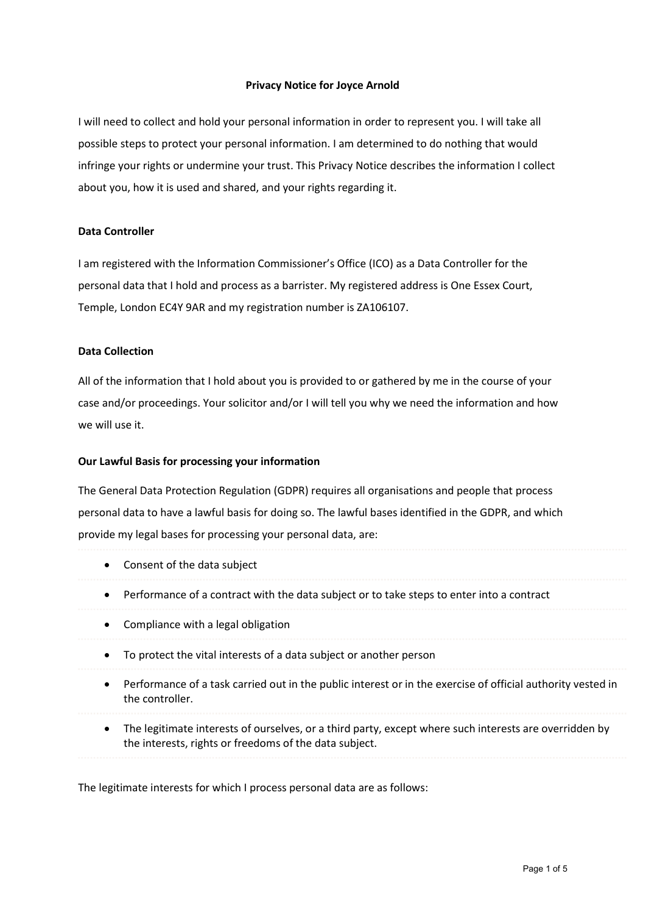## Privacy Notice for Joyce Arnold

I will need to collect and hold your personal information in order to represent you. I will take all possible steps to protect your personal information. I am determined to do nothing that would infringe your rights or undermine your trust. This Privacy Notice describes the information I collect about you, how it is used and shared, and your rights regarding it.

## Data Controller

I am registered with the Information Commissioner's Office (ICO) as a Data Controller for the personal data that I hold and process as a barrister. My registered address is One Essex Court, Temple, London EC4Y 9AR and my registration number is ZA106107.

#### Data Collection

All of the information that I hold about you is provided to or gathered by me in the course of your case and/or proceedings. Your solicitor and/or I will tell you why we need the information and how we will use it.

### Our Lawful Basis for processing your information

The General Data Protection Regulation (GDPR) requires all organisations and people that process personal data to have a lawful basis for doing so. The lawful bases identified in the GDPR, and which provide my legal bases for processing your personal data, are:

- Consent of the data subject
- Performance of a contract with the data subject or to take steps to enter into a contract
- Compliance with a legal obligation
- To protect the vital interests of a data subject or another person
- Performance of a task carried out in the public interest or in the exercise of official authority vested in the controller.
- The legitimate interests of ourselves, or a third party, except where such interests are overridden by the interests, rights or freedoms of the data subject.

The legitimate interests for which I process personal data are as follows: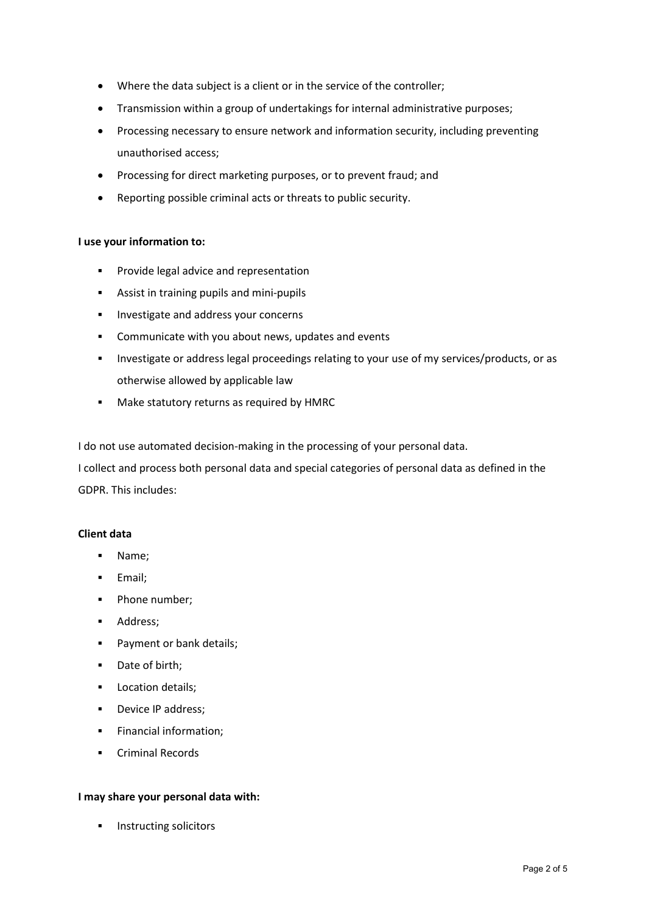- Where the data subject is a client or in the service of the controller;
- Transmission within a group of undertakings for internal administrative purposes;
- Processing necessary to ensure network and information security, including preventing unauthorised access;
- Processing for direct marketing purposes, or to prevent fraud; and
- Reporting possible criminal acts or threats to public security.

# I use your information to:

- **Provide legal advice and representation**
- **Assist in training pupils and mini-pupils**
- **Investigate and address your concerns**
- Communicate with you about news, updates and events
- Investigate or address legal proceedings relating to your use of my services/products, or as otherwise allowed by applicable law
- **Make statutory returns as required by HMRC**

I do not use automated decision-making in the processing of your personal data.

I collect and process both personal data and special categories of personal data as defined in the GDPR. This includes:

## Client data

- Name;
- **Email:**
- Phone number;
- **Address:**
- **Payment or bank details;**
- Date of birth;
- **Location details;**
- **Device IP address:**
- **Financial information;**
- **•** Criminal Records

## I may share your personal data with:

Instructing solicitors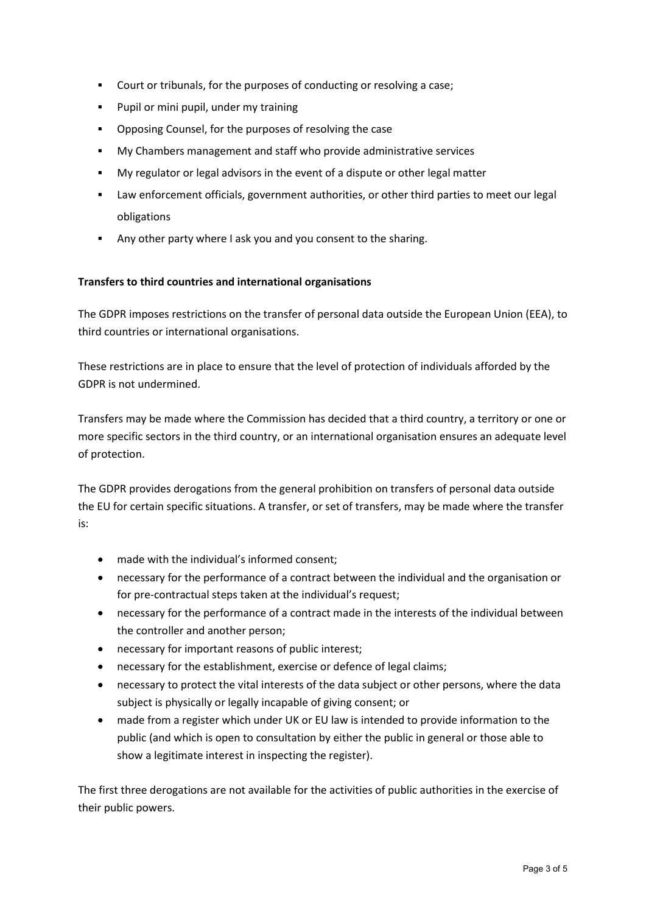- Court or tribunals, for the purposes of conducting or resolving a case;
- **Pupil or mini pupil, under my training**
- Opposing Counsel, for the purposes of resolving the case
- My Chambers management and staff who provide administrative services
- My regulator or legal advisors in the event of a dispute or other legal matter
- Law enforcement officials, government authorities, or other third parties to meet our legal obligations
- Any other party where I ask you and you consent to the sharing.

# Transfers to third countries and international organisations

The GDPR imposes restrictions on the transfer of personal data outside the European Union (EEA), to third countries or international organisations.

These restrictions are in place to ensure that the level of protection of individuals afforded by the GDPR is not undermined.

Transfers may be made where the Commission has decided that a third country, a territory or one or more specific sectors in the third country, or an international organisation ensures an adequate level of protection.

The GDPR provides derogations from the general prohibition on transfers of personal data outside the EU for certain specific situations. A transfer, or set of transfers, may be made where the transfer is:

- made with the individual's informed consent;
- necessary for the performance of a contract between the individual and the organisation or for pre-contractual steps taken at the individual's request;
- necessary for the performance of a contract made in the interests of the individual between the controller and another person;
- necessary for important reasons of public interest;
- necessary for the establishment, exercise or defence of legal claims;
- necessary to protect the vital interests of the data subject or other persons, where the data subject is physically or legally incapable of giving consent; or
- made from a register which under UK or EU law is intended to provide information to the public (and which is open to consultation by either the public in general or those able to show a legitimate interest in inspecting the register).

The first three derogations are not available for the activities of public authorities in the exercise of their public powers.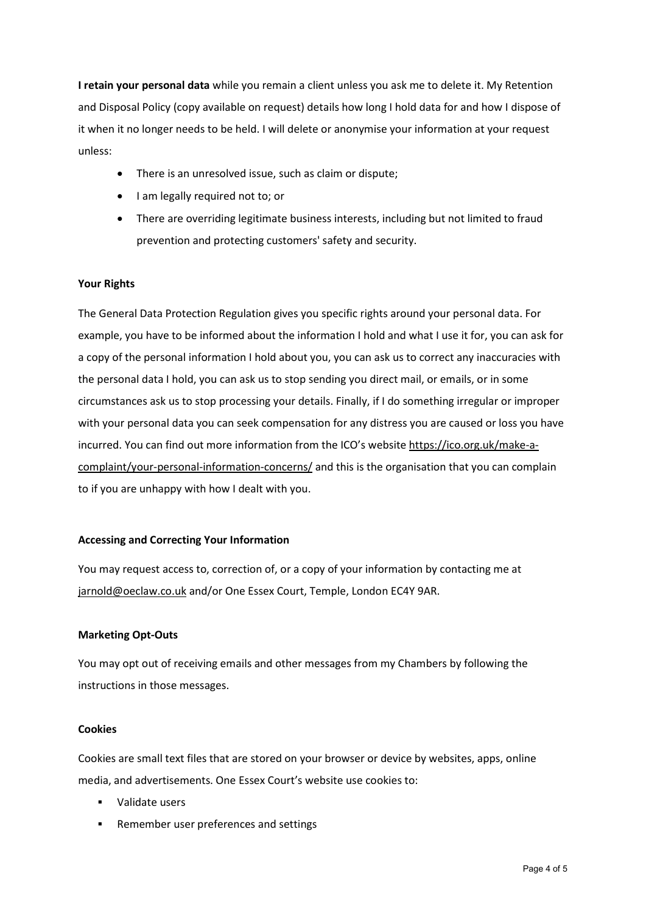I retain your personal data while you remain a client unless you ask me to delete it. My Retention and Disposal Policy (copy available on request) details how long I hold data for and how I dispose of it when it no longer needs to be held. I will delete or anonymise your information at your request unless:

- There is an unresolved issue, such as claim or dispute;
- I am legally required not to; or
- There are overriding legitimate business interests, including but not limited to fraud prevention and protecting customers' safety and security.

## Your Rights

The General Data Protection Regulation gives you specific rights around your personal data. For example, you have to be informed about the information I hold and what I use it for, you can ask for a copy of the personal information I hold about you, you can ask us to correct any inaccuracies with the personal data I hold, you can ask us to stop sending you direct mail, or emails, or in some circumstances ask us to stop processing your details. Finally, if I do something irregular or improper with your personal data you can seek compensation for any distress you are caused or loss you have incurred. You can find out more information from the ICO's website https://ico.org.uk/make-acomplaint/your-personal-information-concerns/ and this is the organisation that you can complain to if you are unhappy with how I dealt with you.

#### Accessing and Correcting Your Information

You may request access to, correction of, or a copy of your information by contacting me at jarnold@oeclaw.co.uk and/or One Essex Court, Temple, London EC4Y 9AR.

#### Marketing Opt-Outs

You may opt out of receiving emails and other messages from my Chambers by following the instructions in those messages.

#### Cookies

Cookies are small text files that are stored on your browser or device by websites, apps, online media, and advertisements. One Essex Court's website use cookies to:

- Validate users
- Remember user preferences and settings